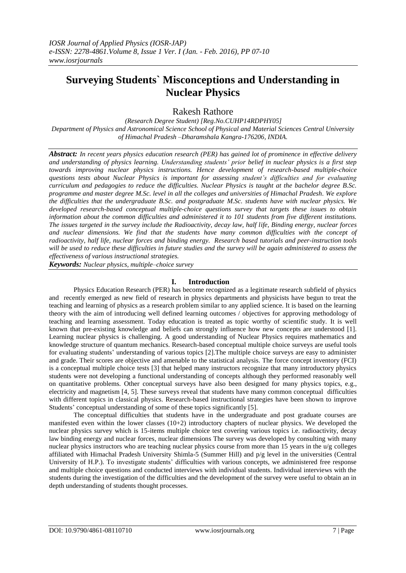# **Surveying Students` Misconceptions and Understanding in Nuclear Physics**

Rakesh Rathore

*(Research Degree Student) [Reg.No.CUHP14RDPHY05] Department of Physics and Astronomical Science School of Physical and Material Sciences Central University of Himachal Pradesh –Dharamshala Kangra-176206, INDIA.*

*Abstract: In recent years physics education research (PER) has gained lot of prominence in effective delivery and understanding of physics learning. Understanding students' prior belief in nuclear physics is a first step towards improving nuclear physics instructions. Hence development of research-based multiple-choice questions tests about Nuclear Physics is important for assessing student's difficulties and for evaluating curriculum and pedagogies to reduce the difficulties. Nuclear Physics is taught at the bachelor degree B.Sc. programme and master degree M.Sc. level in all the colleges and universities of Himachal Pradesh. We explore the difficulties that the undergraduate B.Sc. and postgraduate M.Sc. students have with nuclear physics. We developed research-based conceptual multiple-choice questions survey that targets these issues to obtain information about the common difficulties and administered it to 101 students from five different institutions. The issues targeted in the survey include the Radioactivity, decay law, half life, Binding energy, nuclear forces and nuclear dimensions. We find that the students have many common difficulties with the concept of radioactivity, half life, nuclear forces and binding energy. Research based tutorials and peer-instruction tools will be used to reduce these difficulties in future studies and the survey will be again administered to assess the effectiveness of various instructional strategies.* 

*Keywords: Nuclear physics, multiple–choice survey*

# **I. Introduction**

Physics Education Research (PER) has become recognized as a legitimate research subfield of physics and recently emerged as new field of research in physics departments and physicists have begun to treat the teaching and learning of physics as a research problem similar to any applied science. It is based on the learning theory with the aim of introducing well defined learning outcomes / objectives for approving methodology of teaching and learning assessment. Today education is treated as topic worthy of scientific study. It is well known that pre-existing knowledge and beliefs can strongly influence how new concepts are understood [1]. Learning nuclear physics is challenging. A good understanding of Nuclear Physics requires mathematics and knowledge structure of quantum mechanics. Research-based conceptual multiple choice surveys are useful tools for evaluating students' understanding of various topics [2].The multiple choice surveys are easy to administer and grade. Their scores are objective and amenable to the statistical analysis. The force concept inventory (FCI) is a conceptual multiple choice tests [3] that helped many instructors recognize that many introductory physics students were not developing a functional understanding of concepts although they performed reasonably well on quantitative problems. Other conceptual surveys have also been designed for many physics topics, e.g., electricity and magnetism [4, 5]. These surveys reveal that students have many common conceptual difficulties with different topics in classical physics. Research-based instructional strategies have been shown to improve Students' conceptual understanding of some of these topics significantly [5].

The conceptual difficulties that students have in the undergraduate and post graduate courses are manifested even within the lower classes (10+2) introductory chapters of nuclear physics. We developed the nuclear physics survey which is 15-items multiple choice test covering various topics i.e. radioactivity, decay law binding energy and nuclear forces, nuclear dimensions The survey was developed by consulting with many nuclear physics instructors who are teaching nuclear physics course from more than 15 years in the  $u/g$  colleges affiliated with Himachal Pradesh University Shimla-5 (Summer Hill) and p/g level in the universities (Central University of H.P.). To investigate students' difficulties with various concepts, we administered free response and multiple choice questions and conducted interviews with individual students. Individual interviews with the students during the investigation of the difficulties and the development of the survey were useful to obtain an in depth understanding of students thought processes.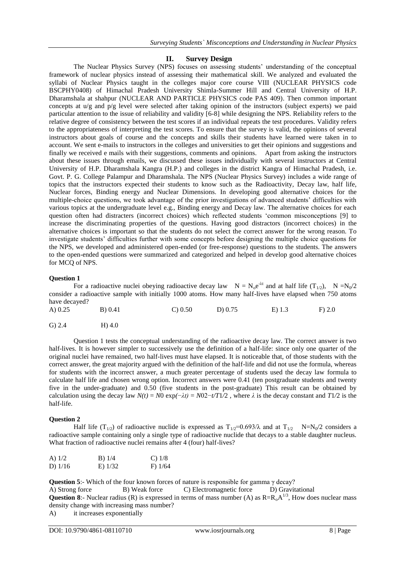## **II. Survey Design**

The Nuclear Physics Survey (NPS) focuses on assessing students' understanding of the conceptual framework of nuclear physics instead of assessing their mathematical skill. We analyzed and evaluated the syllabi of Nuclear Physics taught in the colleges major core course VIII (NUCLEAR PHYSICS code BSCPHY0408) of Himachal Pradesh University Shimla-Summer Hill and Central University of H.P. Dharamshala at shahpur (NUCLEAR AND PARTICLE PHYSICS code PAS 409). Then common important concepts at u/g and p/g level were selected after taking opinion of the instructors (subject experts) we paid particular attention to the issue of reliability and validity [6-8] while designing the NPS. Reliability refers to the relative degree of consistency between the test scores if an individual repeats the test procedures. Validity refers to the appropriateness of interpreting the test scores. To ensure that the survey is valid, the opinions of several instructors about goals of course and the concepts and skills their students have learned were taken in to account. We sent e-mails to instructors in the colleges and universities to get their opinions and suggestions and finally we received e mails with their suggestions, comments and opinions. Apart from asking the instructors about these issues through emails, we discussed these issues individually with several instructors at Central University of H.P. Dharamshala Kangra (H.P.) and colleges in the district Kangra of Himachal Pradesh, i.e. Govt. P. G. College Palampur and Dharamshala. The NPS (Nuclear Physics Survey) includes a wide range of topics that the instructors expected their students to know such as the Radioactivity, Decay law, half life, Nuclear forces, Binding energy and Nuclear Dimensions. In developing good alternative choices for the multiple-choice questions, we took advantage of the prior investigations of advanced students' difficulties with various topics at the undergraduate level e.g., Binding energy and Decay law. The alternative choices for each question often had distracters (incorrect choices) which reflected students 'common misconceptions [9] to increase the discriminating properties of the questions. Having good distractors (incorrect choices) in the alternative choices is important so that the students do not select the correct answer for the wrong reason. To investigate students' difficulties further with some concepts before designing the multiple choice questions for the NPS, we developed and administered open-ended (or free-response) questions to the students. The answers to the open-ended questions were summarized and categorized and helped in develop good alternative choices for MCQ of NPS.

#### **Question 1**

For a radioactive nuclei obeying radioactive decay law  $N = N_0 e^{-\lambda t}$  and at half life  $(T_{1/2})$ ,  $N = N_0/2$ consider a radioactive sample with initially 1000 atoms. How many half-lives have elapsed when 750 atoms have decayed?

A) 0.25 B) 0.41 C) 0.50 D) 0.75 E) 1.3 F) 2.0 G) 2.4 H) 4.0

Question 1 tests the conceptual understanding of the radioactive decay law. The correct answer is two half-lives. It is however simpler to successively use the definition of a half-life: since only one quarter of the original nuclei have remained, two half-lives must have elapsed. It is noticeable that, of those students with the correct answer, the great majority argued with the definition of the half-life and did not use the formula, whereas for students with the incorrect answer, a much greater percentage of students used the decay law formula to calculate half life and chosen wrong option. Incorrect answers were 0.41 (ten postgraduate students and twenty five in the under-graduate) and 0.50 (five students in the post-graduate) This result can be obtained by calculation using the decay law  $N(t) = N0 \exp(-\lambda t) = N02 - t/T1/2$ , where  $\lambda$  is the decay constant and  $T1/2$  is the half-life.

#### **Question 2**

Half life (T<sub>1/2</sub>) of radioactive nuclide is expressed as T<sub>1/2</sub>=0.693/ $\lambda$  and at T<sub>1/2</sub> N=N<sub>0</sub>/2 considers a radioactive sample containing only a single type of radioactive nuclide that decays to a stable daughter nucleus. What fraction of radioactive nuclei remains after 4 (four) half-lives?

| A) $1/2$  | $B)$ 1/4  | C) $1/8$  |
|-----------|-----------|-----------|
| D) $1/16$ | $E)$ 1/32 | $F)$ 1/64 |

**Question 5**:- Which of the four known forces of nature is responsible for gamma γ decay?

A) Strong force B) Weak force C) Electromagnetic force D) Gravitational **Question 8:**- Nuclear radius (R) is expressed in terms of mass number (A) as  $R=R_0A^{1/3}$ , How does nuclear mass density change with increasing mass number?

A) it increases exponentially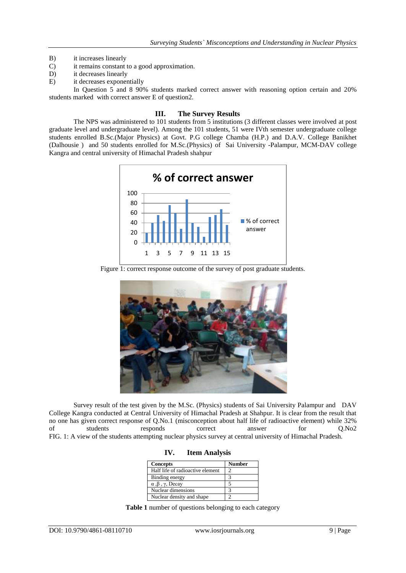- B) it increases linearly
- C) it remains constant to a good approximation.<br>D) it decreases linearly
- it decreases linearly
- E) it decreases exponentially

In Question 5 and 8 90% students marked correct answer with reasoning option certain and 20% students marked with correct answer E of question2.

# **III. The Survey Results**

The NPS was administered to 101 students from 5 institutions (3 different classes were involved at post graduate level and undergraduate level). Among the 101 students, 51 were IVth semester undergraduate college students enrolled B.Sc.(Major Physics) at Govt. P.G college Chamba (H.P.) and D.A.V. College Banikhet (Dalhousie ) and 50 students enrolled for M.Sc.(Physics) of Sai University -Palampur, MCM-DAV college Kangra and central university of Himachal Pradesh shahpur



Figure 1: correct response outcome of the survey of post graduate students.



Survey result of the test given by the M.Sc. (Physics) students of Sai University Palampur and DAV College Kangra conducted at Central University of Himachal Pradesh at Shahpur. It is clear from the result that no one has given correct response of Q.No.1 (misconception about half life of radioactive element) while 32% of students correct answer for  $O.No2$ of students responds correct answer for Q.No2 FIG. 1: A view of the students attempting nuclear physics survey at central university of Himachal Pradesh.

| IV. | <b>Item Analysis</b> |  |
|-----|----------------------|--|
|     |                      |  |

| <b>Concepts</b>                       | <b>Number</b> |
|---------------------------------------|---------------|
| Half life of radioactive element      |               |
| Binding energy                        |               |
| $\alpha$ , $\beta$ , $\gamma$ , Decay |               |
| Nuclear dimensions                    |               |
| Nuclear density and shape             |               |

**Table 1** number of questions belonging to each category